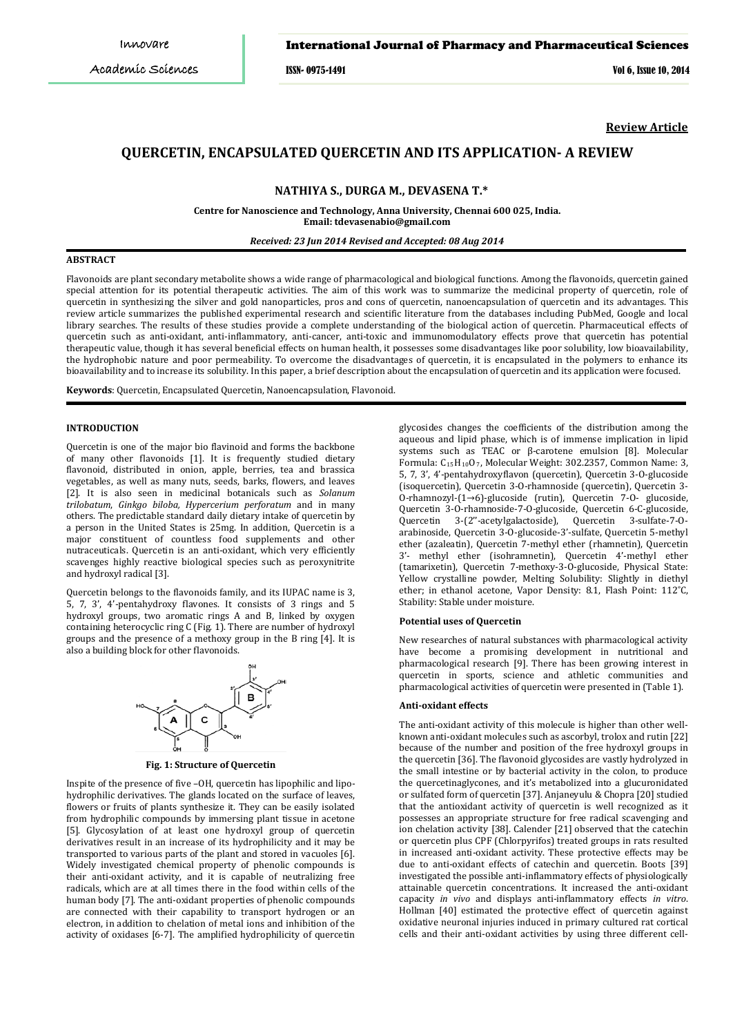### International Journal of Pharmacy and Pharmaceutical Sciences

ISSN- 0975-1491 Vol 6, Issue 10, 2014

**Review Article**

# **QUERCETIN, ENCAPSULATED QUERCETIN AND ITS APPLICATION- A REVIEW**

**NATHIYA S., DURGA M., DEVASENA T.\***

**Centre for Nanoscience and Technology, Anna University, Chennai 600 025, India. Email: tdevasenabio@gmail.com**

*Received: 23 Jun 2014 Revised and Accepted: 08 Aug 2014*

### **ABSTRACT**

Flavonoids are plant secondary metabolite shows a wide range of pharmacological and biological functions. Among the flavonoids, quercetin gained special attention for its potential therapeutic activities. The aim of this work was to summarize the medicinal property of quercetin, role of quercetin in synthesizing the silver and gold nanoparticles, pros and cons of quercetin, nanoencapsulation of quercetin and its advantages. This review article summarizes the published experimental research and scientific literature from the databases including PubMed, Google and local library searches. The results of these studies provide a complete understanding of the biological action of quercetin. Pharmaceutical effects of quercetin such as anti-oxidant, anti-inflammatory, anti-cancer, anti-toxic and immunomodulatory effects prove that quercetin has potential therapeutic value, though it has several beneficial effects on human health, it possesses some disadvantages like poor solubility, low bioavailability, the hydrophobic nature and poor permeability. To overcome the disadvantages of quercetin, it is encapsulated in the polymers to enhance its bioavailability and to increase its solubility. In this paper, a brief description about the encapsulation of quercetin and its application were focused.

**Keywords**: Quercetin, Encapsulated Quercetin, Nanoencapsulation, Flavonoid.

### **INTRODUCTION**

Quercetin is one of the major bio flavinoid and forms the backbone of many other flavonoids [1]. It is frequently studied dietary flavonoid, distributed in onion, apple, berries, tea and brassica vegetables, as well as many nuts, seeds, barks, flowers, and leaves [2]. It is also seen in medicinal botanicals such as *Solanum trilobatum*, *Ginkgo biloba, Hypercerium perforatum* and in many others. The predictable standard daily dietary intake of quercetin by a person in the United States is 25mg. In addition, Quercetin is a major constituent of countless food supplements and other nutraceuticals. Quercetin is an anti-oxidant, which very efficiently scavenges highly reactive biological species such as peroxynitrite and hydroxyl radical [3].

Quercetin belongs to the flavonoids family, and its IUPAC name is 3, 5, 7, 3', 4'-pentahydroxy flavones. It consists of 3 rings and 5 hydroxyl groups, two aromatic rings A and B, linked by oxygen containing heterocyclic ring C (Fig. 1). There are number of hydroxyl groups and the presence of a methoxy group in the B ring [4]. It is also a building block for other flavonoids.



**Fig. 1: Structure of Quercetin**

Inspite of the presence of five –OH, quercetin has lipophilic and lipohydrophilic derivatives. The glands located on the surface of leaves, flowers or fruits of plants synthesize it. They can be easily isolated from hydrophilic compounds by immersing plant tissue in acetone [5]. Glycosylation of at least one hydroxyl group of quercetin derivatives result in an increase of its hydrophilicity and it may be transported to various parts of the plant and stored in vacuoles [6]. Widely investigated chemical property of phenolic compounds is their anti-oxidant activity, and it is capable of neutralizing free radicals, which are at all times there in the food within cells of the human body [7]. The anti-oxidant properties of phenolic compounds are connected with their capability to transport hydrogen or an electron, in addition to chelation of metal ions and inhibition of the activity of oxidases [6-7]. The amplified hydrophilicity of quercetin

glycosides changes the coefficients of the distribution among the aqueous and lipid phase, which is of immense implication in lipid systems such as TEAC or β-carotene emulsion [8]. Molecular Formula: C15H10O7 , Molecular Weight: 302.2357, Common Name: 3, 5, 7, 3', 4'-pentahydroxyflavon (quercetin), Quercetin 3-O-glucoside (isoquercetin), Quercetin 3-O-rhamnoside (quercetin), Quercetin 3- O-rhamnozyl-(1→6)-glucoside (rutin), Quercetin 7-O- glucoside, Quercetin 3-O-rhamnoside-7-O-glucoside, Quercetin 6-C-glucoside, 3-(2"-acetylgalactoside), Quercetin 3-sulfate-7-0arabinoside, Quercetin 3-O-glucoside-3'-sulfate, Quercetin 5-methyl ether (azaleatin), Quercetin 7-methyl ether (rhamnetin), Quercetin 3'- methyl ether (isohramnetin), Quercetin 4'-methyl ether (tamarixetin), Quercetin 7-methoxy-3-O-glucoside, Physical State: Yellow crystalline powder, Melting Solubility: Slightly in diethyl ether; in ethanol acetone, Vapor Density: 8.1, Flash Point: 112˚C, Stability: Stable under moisture.

#### **Potential uses of Quercetin**

New researches of natural substances with pharmacological activity have become a promising development in nutritional and pharmacological research [9]. There has been growing interest in quercetin in sports, science and athletic communities and pharmacological activities of quercetin were presented in (Table 1).

#### **Anti-oxidant effects**

The anti-oxidant activity of this molecule is higher than other wellknown anti-oxidant molecules such as ascorbyl, trolox and rutin [22] because of the number and position of the free hydroxyl groups in the quercetin [36]. The flavonoid glycosides are vastly hydrolyzed in the small intestine or by bacterial activity in the colon, to produce the quercetinaglycones, and it's metabolized into a glucuronidated or sulfated form of quercetin [37]. Anjaneyulu & Chopra [20] studied that the antioxidant activity of quercetin is well recognized as it possesses an appropriate structure for free radical scavenging and ion chelation activity [38]. Calender [21] observed that the catechin or quercetin plus CPF (Chlorpyrifos) treated groups in rats resulted in increased anti-oxidant activity. These protective effects may be due to anti-oxidant effects of catechin and quercetin. Boots [39] investigated the possible anti-inflammatory effects of physiologically attainable quercetin concentrations. It increased the anti-oxidant capacity *in vivo* and displays anti-inflammatory effects *in vitro*. Hollman [40] estimated the protective effect of quercetin against oxidative neuronal injuries induced in primary cultured rat cortical cells and their anti-oxidant activities by using three different cell-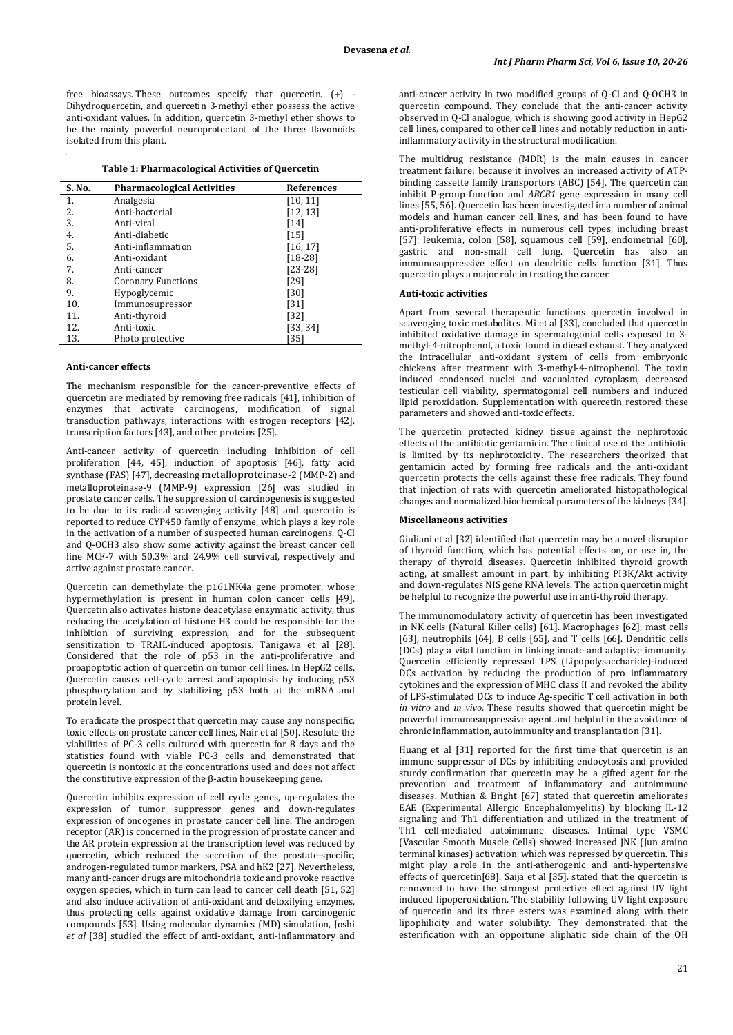free bioassays. These outcomes specify that quercetin. (+) - Dihydroquercetin, and quercetin 3-methyl ether possess the active anti-oxidant values. In addition, quercetin 3-methyl ether shows to be the mainly powerful neuroprotectant of the three flavonoids isolated from this plant.

### **Table 1: Pharmacological Activities of Quercetin**

| S. No. | <b>Pharmacological Activities</b> | <b>References</b> |
|--------|-----------------------------------|-------------------|
| 1.     | Analgesia                         | [10, 11]          |
| 2.     | Anti-bacterial                    | [12, 13]          |
| 3.     | Anti-viral                        | [14]              |
| 4.     | Anti-diabetic                     | [15]              |
| 5.     | Anti-inflammation                 | [16, 17]          |
| 6.     | Anti-oxidant                      | $[18-28]$         |
| 7.     | Anti-cancer                       | $[23-28]$         |
| 8.     | <b>Coronary Functions</b>         | [29]              |
| 9.     | Hypoglycemic                      | $[30]$            |
| 10.    | Immunosupressor                   | $[31]$            |
| 11.    | Anti-thyroid                      | $[32]$            |
| 12.    | Anti-toxic                        | [33, 34]          |
| 13.    | Photo protective                  | [35]              |

#### **Anti-cancer effects**

The mechanism responsible for the cancer-preventive effects of quercetin are mediated by removing free radicals [41], inhibition of enzymes that activate carcinogens, modification of signal transduction pathways, interactions with estrogen receptors [42], transcription factors [43], and other proteins [25].

Anti-cancer activity of quercetin including inhibition of cell proliferation [44, 45], induction of apoptosis [46], fatty acid synthase (FAS) [47], decreasing metalloproteinase-2 (MMP-2) and metalloproteinase-9 (MMP-9) expression [26] was studied in prostate cancer cells. The suppression of carcinogenesis is suggested to be due to its radical scavenging activity [48] and quercetin is reported to reduce CYP450 family of enzyme, which plays a key role in the activation of a number of suspected human carcinogens. Q-Cl and Q-OCH3 also show some activity against the breast cancer cell line MCF-7 with 50.3% and 24.9% cell survival, respectively and active against prostate cancer.

Quercetin can demethylate the p161NK4a gene promoter, whose hypermethylation is present in human colon cancer cells [49]. Quercetin also activates histone deacetylase enzymatic activity, thus reducing the acetylation of histone H3 could be responsible for the inhibition of surviving expression, and for the subsequent sensitization to TRAIL-induced apoptosis. Tanigawa et al [28]. Considered that the role of  $p53$  in the anti-proliferative and proapoptotic action of quercetin on tumor cell lines. In HepG2 cells, Quercetin causes cell-cycle arrest and apoptosis by inducing p53 phosphorylation and by stabilizing p53 both at the mRNA and protein level.

To eradicate the prospect that quercetin may cause any nonspecific, toxic effects on prostate cancer cell lines, Nair et al [50]. Resolute the viabilities of PC-3 cells cultured with quercetin for 8 days and the statistics found with viable PC-3 cells and demonstrated that quercetin is nontoxic at the concentrations used and does not affect the constitutive expression of the β-actin housekeeping gene.

Quercetin inhibits expression of cell cycle genes, up-regulates the expression of tumor suppressor genes and down-regulates expression of oncogenes in prostate cancer cell line. The androgen receptor (AR) is concerned in the progression of prostate cancer and the AR protein expression at the transcription level was reduced by quercetin, which reduced the secretion of the prostate-specific, androgen-regulated tumor markers, PSA and hK2 [27]. Nevertheless, many anti-cancer drugs are mitochondria toxic and provoke reactive oxygen species, which in turn can lead to cancer cell death [51, 52] and also induce activation of anti-oxidant and detoxifying enzymes, thus protecting cells against oxidative damage from carcinogenic compounds [53]. Using molecular dynamics (MD) simulation, Joshi *et al* [38] studied the effect of anti-oxidant, anti-inflammatory and

anti-cancer activity in two modified groups of Q-Cl and Q-OCH3 in quercetin compound. They conclude that the anti-cancer activity observed in Q-Cl analogue, which is showing good activity in HepG2 cell lines, compared to other cell lines and notably reduction in antiinflammatory activity in the structural modification.

The multidrug resistance (MDR) is the main causes in cancer treatment failure; because it involves an increased activity of ATPbinding cassette family transportors (ABC) [54]. The quercetin can inhibit P-group function and *ABCB1* gene expression in many cell lines [55, 56]. Quercetin has been investigated in a number of animal models and human cancer cell lines, and has been found to have anti-proliferative effects in numerous cell types, including breast [57], leukemia, colon [58], squamous cell [59], endometrial [60], gastric and non-small cell lung. Quercetin has also an immunosuppressive effect on dendritic cells function [31]. Thus quercetin plays a major role in treating the cancer.

### **Anti-toxic activities**

Apart from several therapeutic functions quercetin involved in scavenging toxic metabolites. Mi et al [33], concluded that quercetin inhibited oxidative damage in spermatogonial cells exposed to 3 methyl-4-nitrophenol, a toxic found in diesel exhaust. They analyzed the intracellular anti-oxidant system of cells from embryonic chickens after treatment with 3-methyl-4-nitrophenol. The toxin induced condensed nuclei and vacuolated cytoplasm, decreased testicular cell viability, spermatogonial cell numbers and induced lipid peroxidation. Supplementation with quercetin restored these parameters and showed anti-toxic effects.

The quercetin protected kidney tissue against the nephrotoxic effects of the antibiotic gentamicin. The clinical use of the antibiotic is limited by its nephrotoxicity. The researchers theorized that gentamicin acted by forming free radicals and the anti-oxidant quercetin protects the cells against these free radicals. They found that injection of rats with quercetin ameliorated histopathological changes and normalized biochemical parameters of the kidneys [34].

#### **Miscellaneous activities**

Giuliani et al [32] identified that quercetin may be a novel disruptor of thyroid function, which has potential effects on, or use in, the therapy of thyroid diseases. Quercetin inhibited thyroid growth acting, at smallest amount in part, by inhibiting PI3K/Akt activity and down-regulates NIS gene RNA levels. The action quercetin might be helpful to recognize the powerful use in anti-thyroid therapy.

The immunomodulatory activity of quercetin has been investigated in NK cells (Natural Killer cells) [61]. Macrophages [62], mast cells [63], neutrophils [64], B cells [65], and T cells [66]. Dendritic cells (DCs) play a vital function in linking innate and adaptive immunity. Quercetin efficiently repressed LPS (Lipopolysaccharide)-induced DCs activation by reducing the production of pro inflammatory cytokines and the expression of MHC class II and revoked the ability of LPS-stimulated DCs to induce Ag-specific T cell activation in both *in vitro* and *in vivo*. These results showed that quercetin might be powerful immunosuppressive agent and helpful in the avoidance of chronic inflammation, autoimmunity and transplantation [31].

Huang et al [31] reported for the first time that quercetin is an immune suppressor of DCs by inhibiting endocytosis and provided sturdy confirmation that quercetin may be a gifted agent for the prevention and treatment of inflammatory and autoimmune diseases. Muthian & Bright [67] stated that quercetin ameliorates EAE (Experimental Allergic Encephalomyelitis) by blocking IL-12 signaling and Th1 differentiation and utilized in the treatment of Th1 cell-mediated autoimmune diseases. Intimal type VSMC (Vascular Smooth Muscle Cells) showed increased JNK (Jun amino terminal kinases) activation, which was repressed by quercetin. This might play a role in the anti-atherogenic and anti-hypertensive effects of quercetin[68]. Saija et al [35]. stated that the quercetin is renowned to have the strongest protective effect against UV light induced lipoperoxidation. The stability following UV light exposure of quercetin and its three esters was examined along with their lipophilicity and water solubility. They demonstrated that the esterification with an opportune aliphatic side chain of the OH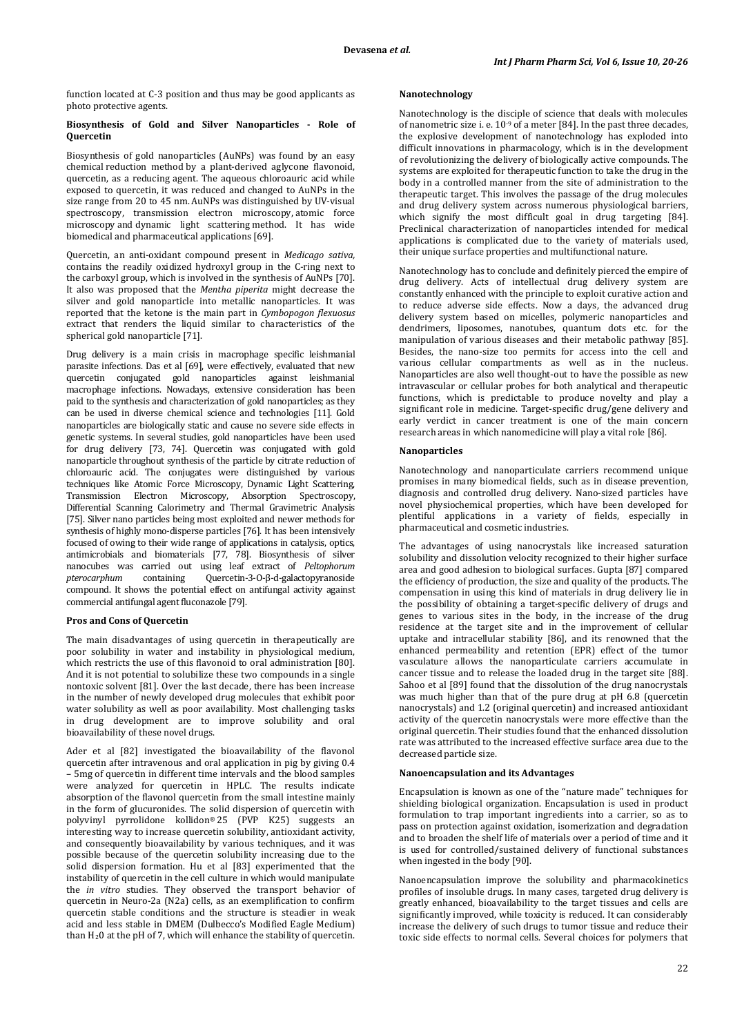function located at C-3 position and thus may be good applicants as photo protective agents.

#### **Biosynthesis of Gold and Silver Nanoparticles - Role of Quercetin**

Biosynthesis of gold nanoparticles (AuNPs) was found by an easy chemical reduction method by a plant-derived aglycone flavonoid, quercetin, as a reducing agent. The aqueous chloroauric acid while exposed to quercetin, it was reduced and changed to AuNPs in the size range from 20 to 45 nm. AuNPs was distinguished by UV-visual spectroscopy, transmission electron microscopy, atomic force microscopy and dynamic light scattering method. It has wide biomedical and pharmaceutical applications [69].

Quercetin, an anti-oxidant compound present in *Medicago sativa,* contains the readily oxidized hydroxyl group in the C-ring next to the carboxyl group, which is involved in the synthesis of AuNPs [70]. It also was proposed that the *Mentha piperita* might decrease the silver and gold nanoparticle into metallic nanoparticles. It was reported that the ketone is the main part in *Cymbopogon flexuosus* extract that renders the liquid similar to characteristics of the spherical gold nanoparticle [71].

Drug delivery is a main crisis in macrophage specific leishmanial parasite infections. Das et al [69], were effectively, evaluated that new quercetin conjugated gold nanoparticles against leishmanial macrophage infections. Nowadays, extensive consideration has been paid to the synthesis and characterization of gold nanoparticles; as they can be used in diverse chemical science and technologies [11]. Gold nanoparticles are biologically static and cause no severe side effects in genetic systems. In several studies, gold nanoparticles have been used for drug delivery [73, 74]. Quercetin was conjugated with gold nanoparticle throughout synthesis of the particle by citrate reduction of chloroauric acid. The conjugates were distinguished by various techniques like Atomic Force Microscopy, Dynamic Light Scattering, Transmission Electron Microscopy, Absorption Spectroscopy, Differential Scanning Calorimetry and Thermal Gravimetric Analysis [75]. Silver nano particles being most exploited and newer methods for synthesis of highly mono-disperse particles [76]. It has been intensively focused of owing to their wide range of applications in catalysis, optics, antimicrobials and biomaterials [77, 78]. Biosynthesis of silver nanocubes was carried out using leaf extract of *Peltophorum pterocarphum* containing Quercetin-3-O-β-d-galactopyranoside compound. It shows the potential effect on antifungal activity against commercial antifungal agent fluconazole [79].

### **Pros and Cons of Quercetin**

The main disadvantages of using quercetin in therapeutically are poor solubility in water and instability in physiological medium, which restricts the use of this flavonoid to oral administration [80]. And it is not potential to solubilize these two compounds in a single nontoxic solvent [81]. Over the last decade, there has been increase in the number of newly developed drug molecules that exhibit poor water solubility as well as poor availability. Most challenging tasks in drug development are to improve solubility and oral bioavailability of these novel drugs.

Ader et al [82] investigated the bioavailability of the flavonol quercetin after intravenous and oral application in pig by giving 0.4 – 5mg of quercetin in different time intervals and the blood samples were analyzed for quercetin in HPLC. The results indicate absorption of the flavonol quercetin from the small intestine mainly in the form of glucuronides. The solid dispersion of quercetin with polyvinyl pyrrolidone kollidon® 25 (PVP K25) suggests an interesting way to increase quercetin solubility, antioxidant activity, and consequently bioavailability by various techniques, and it was possible because of the quercetin solubility increasing due to the solid dispersion formation. Hu et al [83] experimented that the instability of quercetin in the cell culture in which would manipulate the *in vitro* studies. They observed the transport behavior of quercetin in Neuro-2a (N2a) cells, as an exemplification to confirm quercetin stable conditions and the structure is steadier in weak acid and less stable in DMEM (Dulbecco's Modified Eagle Medium) than H2 0 at the pH of 7, which will enhance the stability of quercetin.

### **Nanotechnology**

Nanotechnology is the disciple of science that deals with molecules of nanometric size i. e. 10-9 of a meter [84]. In the past three decades, the explosive development of nanotechnology has exploded into difficult innovations in pharmacology, which is in the development of revolutionizing the delivery of biologically active compounds. The systems are exploited for therapeutic function to take the drug in the body in a controlled manner from the site of administration to the therapeutic target. This involves the passage of the drug molecules and drug delivery system across numerous physiological barriers, which signify the most difficult goal in drug targeting [84]. Preclinical characterization of nanoparticles intended for medical applications is complicated due to the variety of materials used, their unique surface properties and multifunctional nature.

Nanotechnology has to conclude and definitely pierced the empire of drug delivery. Acts of intellectual drug delivery system are constantly enhanced with the principle to exploit curative action and to reduce adverse side effects. Now a days, the advanced drug delivery system based on micelles, polymeric nanoparticles and dendrimers, liposomes, nanotubes, quantum dots etc. for the manipulation of various diseases and their metabolic pathway [85]. Besides, the nano-size too permits for access into the cell and various cellular compartments as well as in the nucleus. Nanoparticles are also well thought-out to have the possible as new intravascular or cellular probes for both analytical and therapeutic functions, which is predictable to produce novelty and play a significant role in medicine. Target-specific drug/gene delivery and early verdict in cancer treatment is one of the main concern research areas in which nanomedicine will play a vital role [86].

#### **Nanoparticles**

Nanotechnology and nanoparticulate carriers recommend unique promises in many biomedical fields, such as in disease prevention, diagnosis and controlled drug delivery. Nano-sized particles have novel physiochemical properties, which have been developed for plentiful applications in a variety of fields, especially in pharmaceutical and cosmetic industries.

The advantages of using nanocrystals like increased saturation solubility and dissolution velocity recognized to their higher surface area and good adhesion to biological surfaces. Gupta [87] compared the efficiency of production, the size and quality of the products. The compensation in using this kind of materials in drug delivery lie in the possibility of obtaining a target-specific delivery of drugs and genes to various sites in the body, in the increase of the drug residence at the target site and in the improvement of cellular uptake and intracellular stability [86], and its renowned that the enhanced permeability and retention (EPR) effect of the tumor vasculature allows the nanoparticulate carriers accumulate in cancer tissue and to release the loaded drug in the target site [88]. Sahoo et al [89] found that the dissolution of the drug nanocrystals was much higher than that of the pure drug at pH 6.8 (quercetin nanocrystals) and 1.2 (original quercetin) and increased antioxidant activity of the quercetin nanocrystals were more effective than the original quercetin. Their studies found that the enhanced dissolution rate was attributed to the increased effective surface area due to the decreased particle size.

## **Nanoencapsulation and its Advantages**

Encapsulation is known as one of the "nature made" techniques for shielding biological organization. Encapsulation is used in product formulation to trap important ingredients into a carrier, so as to pass on protection against oxidation, isomerization and degradation and to broaden the shelf life of materials over a period of time and it is used for controlled/sustained delivery of functional substances when ingested in the body [90].

Nanoencapsulation improve the solubility and pharmacokinetics profiles of insoluble drugs. In many cases, targeted drug delivery is greatly enhanced, bioavailability to the target tissues and cells are significantly improved, while toxicity is reduced. It can considerably increase the delivery of such drugs to tumor tissue and reduce their toxic side effects to normal cells. Several choices for polymers that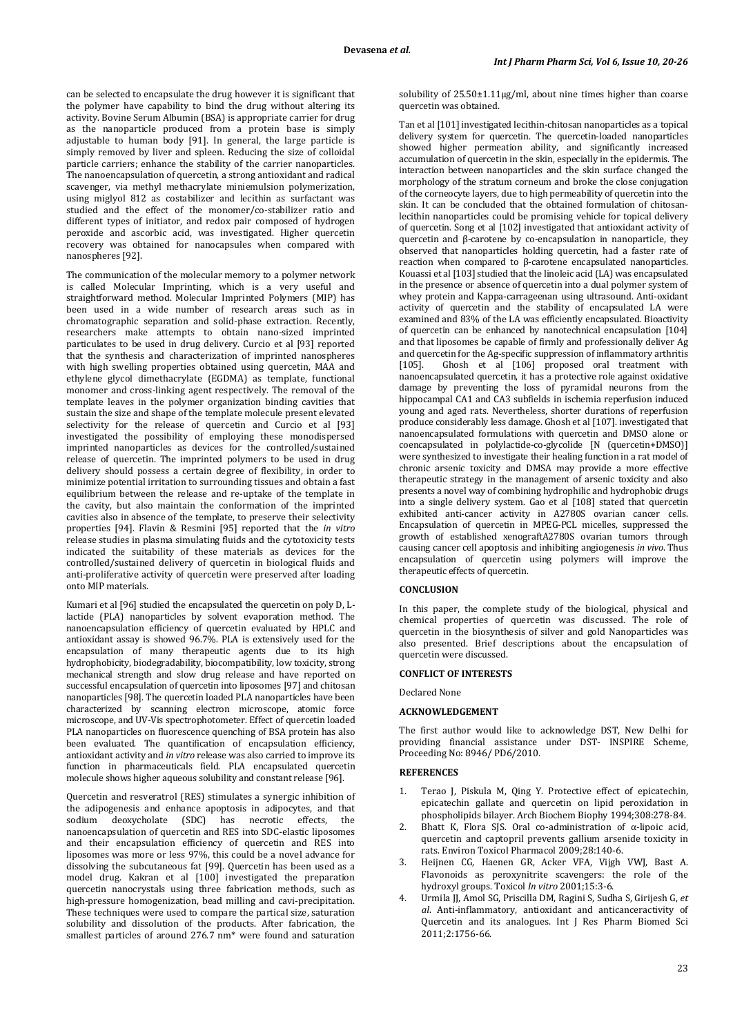can be selected to encapsulate the drug however it is significant that the polymer have capability to bind the drug without altering its activity. Bovine Serum Albumin (BSA) is appropriate carrier for drug as the nanoparticle produced from a protein base is simply adjustable to human body [91]. In general, the large particle is simply removed by liver and spleen. Reducing the size of colloidal particle carriers; enhance the stability of the carrier nanoparticles. The nanoencapsulation of quercetin, a strong antioxidant and radical scavenger, via methyl methacrylate miniemulsion polymerization, using miglyol 812 as costabilizer and lecithin as surfactant was studied and the effect of the monomer/co-stabilizer ratio and different types of initiator, and redox pair composed of hydrogen peroxide and ascorbic acid, was investigated. Higher quercetin recovery was obtained for nanocapsules when compared with nanospheres [92].

The communication of the molecular memory to a polymer network is called Molecular Imprinting, which is a very useful and straightforward method. Molecular Imprinted Polymers (MIP) has been used in a wide number of research areas such as in chromatographic separation and solid-phase extraction. Recently, researchers make attempts to obtain nano-sized imprinted particulates to be used in drug delivery. Curcio et al [93] reported that the synthesis and characterization of imprinted nanospheres with high swelling properties obtained using quercetin, MAA and ethylene glycol dimethacrylate (EGDMA) as template, functional monomer and cross-linking agent respectively. The removal of the template leaves in the polymer organization binding cavities that sustain the size and shape of the template molecule present elevated selectivity for the release of quercetin and Curcio et al [93] investigated the possibility of employing these monodispersed imprinted nanoparticles as devices for the controlled/sustained release of quercetin. The imprinted polymers to be used in drug delivery should possess a certain degree of flexibility, in order to minimize potential irritation to surrounding tissues and obtain a fast equilibrium between the release and re-uptake of the template in the cavity, but also maintain the conformation of the imprinted cavities also in absence of the template, to preserve their selectivity properties [94]. Flavin & Resmini [95] reported that the *in vitro*  release studies in plasma simulating fluids and the cytotoxicity tests indicated the suitability of these materials as devices for the controlled/sustained delivery of quercetin in biological fluids and anti-proliferative activity of quercetin were preserved after loading onto MIP materials.

Kumari et al [96] studied the encapsulated the quercetin on poly D, Llactide (PLA) nanoparticles by solvent evaporation method. The nanoencapsulation efficiency of quercetin evaluated by HPLC and antioxidant assay is showed 96.7%. PLA is extensively used for the encapsulation of many therapeutic agents due to its high hydrophobicity, biodegradability, biocompatibility, low toxicity, strong mechanical strength and slow drug release and have reported on successful encapsulation of quercetin into liposomes [97] and chitosan nanoparticles [98]. The quercetin loaded PLA nanoparticles have been characterized by scanning electron microscope, atomic force microscope, and UV-Vis spectrophotometer. Effect of quercetin loaded PLA nanoparticles on fluorescence quenching of BSA protein has also been evaluated. The quantification of encapsulation efficiency, antioxidant activity and *in vitro* release was also carried to improve its function in pharmaceuticals field. PLA encapsulated quercetin molecule shows higher aqueous solubility and constant release [96].

Quercetin and resveratrol (RES) stimulates a synergic inhibition of the adipogenesis and enhance apoptosis in adipocytes, and that sodium deoxycholate (SDC) has necrotic effects, the deoxycholate (SDC) has necrotic nanoencapsulation of quercetin and RES into SDC-elastic liposomes and their encapsulation efficiency of quercetin and RES into liposomes was more or less 97%, this could be a novel advance for dissolving the subcutaneous fat [99]. Quercetin has been used as a model drug. Kakran et al [100] investigated the preparation quercetin nanocrystals using three fabrication methods, such as high-pressure homogenization, bead milling and cavi-precipitation. These techniques were used to compare the partical size, saturation solubility and dissolution of the products. After fabrication, the smallest particles of around 276.7 nm\* were found and saturation

solubility of 25.50±1.11µg/ml, about nine times higher than coarse quercetin was obtained.

Tan et al [101] investigated lecithin-chitosan nanoparticles as a topical delivery system for quercetin. The quercetin-loaded nanoparticles showed higher permeation ability, and significantly increased accumulation of quercetin in the skin, especially in the epidermis. The interaction between nanoparticles and the skin surface changed the morphology of the stratum corneum and broke the close conjugation of the corneocyte layers, due to high permeability of quercetin into the skin. It can be concluded that the obtained formulation of chitosanlecithin nanoparticles could be promising vehicle for topical delivery of quercetin. Song et al [102] investigated that antioxidant activity of quercetin and β-carotene by co-encapsulation in nanoparticle, they observed that nanoparticles holding quercetin, had a faster rate of reaction when compared to β-carotene encapsulated nanoparticles. Kouassi et al [103] studied that the linoleic acid (LA) was encapsulated in the presence or absence of quercetin into a dual polymer system of whey protein and Kappa-carrageenan using ultrasound. Anti-oxidant activity of quercetin and the stability of encapsulated LA were examined and 83% of the LA was efficiently encapsulated. Bioactivity of quercetin can be enhanced by nanotechnical encapsulation [104] and that liposomes be capable of firmly and professionally deliver Ag and quercetin for the Ag-specific suppression of inflammatory arthritis [105]. Ghosh et al [106] proposed oral treatment with Ghosh et al [106] proposed oral treatment with nanoencapsulated quercetin, it has a protective role against oxidative damage by preventing the loss of pyramidal neurons from the hippocampal CA1 and CA3 subfields in ischemia reperfusion induced young and aged rats. Nevertheless, shorter durations of reperfusion produce considerably less damage. Ghosh et al [107]. investigated that nanoencapsulated formulations with quercetin and DMSO alone or coencapsulated in polylactide-co-glycolide [N (quercetin+DMSO)] were synthesized to investigate their healing function in a rat model of chronic arsenic toxicity and DMSA may provide a more effective therapeutic strategy in the management of arsenic toxicity and also presents a novel way of combining hydrophilic and hydrophobic drugs into a single delivery system. Gao et al [108] stated that quercetin exhibited anti-cancer activity in A2780S ovarian cancer cells. Encapsulation of quercetin in MPEG-PCL micelles, suppressed the growth of established xenograftA2780S ovarian tumors through causing cancer cell apoptosis and inhibiting angiogenesis *in vivo*. Thus encapsulation of quercetin using polymers will improve the therapeutic effects of quercetin.

### **CONCLUSION**

In this paper, the complete study of the biological, physical and chemical properties of quercetin was discussed. The role of quercetin in the biosynthesis of silver and gold Nanoparticles was also presented. Brief descriptions about the encapsulation of quercetin were discussed.

### **CONFLICT OF INTERESTS**

Declared None

#### **ACKNOWLEDGEMENT**

The first author would like to acknowledge DST, New Delhi for providing financial assistance under DST- INSPIRE Scheme, Proceeding No: 8946/ PD6/2010.

### **REFERENCES**

- 1. Terao J, Piskula M, Qing Y. Protective effect of epicatechin, epicatechin gallate and quercetin on lipid peroxidation in phospholipids bilayer. Arch Biochem Biophy 1994;308:278-84.
- 2. Bhatt K, Flora SJS. Oral co-administration of α-lipoic acid, quercetin and captopril prevents gallium arsenide toxicity in rats. Environ Toxicol Pharmacol 2009;28:140-6.
- 3. Heijnen CG, Haenen GR, Acker VFA, Vijgh VWJ, Bast A. Flavonoids as peroxynitrite scavengers: the role of the hydroxyl groups. Toxicol *In vitro* 2001;15:3-6.
- 4. Urmila JJ, Amol SG, Priscilla DM, Ragini S, Sudha S, Girijesh G, *et al*. Anti-inflammatory, antioxidant and anticanceractivity of Quercetin and its analogues. Int J Res Pharm Biomed Sci 2011;2:1756-66.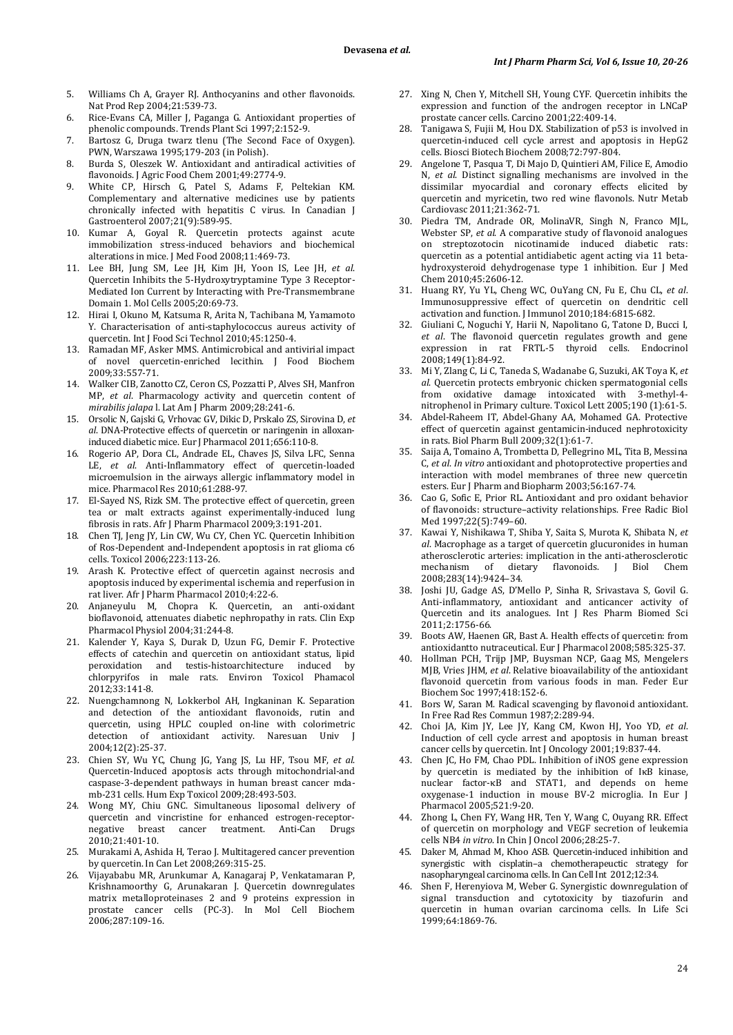- 5. Williams Ch A, Grayer RJ. Anthocyanins and other flavonoids. Nat Prod Rep 2004;21:539-73.
- 6. Rice-Evans CA, Miller J, Paganga G. Antioxidant properties of phenolic compounds. Trends Plant Sci 1997;2:152-9.
- 7. Bartosz G, Druga twarz tlenu (The Second Face of Oxygen). PWN, Warszawa 1995;179-203 (in Polish).
- 8. Burda S, Oleszek W. Antioxidant and antiradical activities of flavonoids. J Agric Food Chem 2001;49:2774-9.
- 9. White CP, Hirsch G, Patel S, Adams F, Peltekian KM. Complementary and alternative medicines use by patients chronically infected with hepatitis C virus. In Canadian J Gastroenterol 2007;21(9):589-95.
- 10. Kumar A, Goyal R. Quercetin protects against acute immobilization stress-induced behaviors and biochemical alterations in mice. J Med Food 2008;11:469-73.
- 11. Lee BH, Jung SM, Lee JH, Kim JH, Yoon IS, Lee JH, *et al*. Quercetin Inhibits the 5-Hydroxytryptamine Type 3 Receptor-Mediated Ion Current by Interacting with Pre-Transmembrane Domain 1. Mol Cells 2005;20:69-73.
- 12. Hirai I, Okuno M, Katsuma R, Arita N, Tachibana M, Yamamoto Y. Characterisation of anti-staphylococcus aureus activity of quercetin. Int J Food Sci Technol 2010;45:1250-4.
- 13. Ramadan MF, Asker MMS. Antimicrobical and antivirial impact of novel quercetin-enriched lecithin. J Food Biochem 2009;33:557-71.
- 14. Walker CIB, Zanotto CZ, Ceron CS, Pozzatti P, Alves SH, Manfron MP, *et al*. Pharmacology activity and quercetin content of *mirabilis jalapa* l. Lat Am J Pharm 2009;28:241-6.
- 15. Orsolic N, Gajski G, Vrhovac GV, Dikic D, Prskalo ZS, Sirovina D, *et al*. DNA-Protective effects of quercetin or naringenin in alloxaninduced diabetic mice. Eur J Pharmacol 2011;656:110-8.
- 16. Rogerio AP, Dora CL, Andrade EL, Chaves JS, Silva LFC, Senna LE, *et al*. Anti-Inflammatory effect of quercetin-loaded microemulsion in the airways allergic inflammatory model in mice. Pharmacol Res 2010;61:288-97.
- 17. El-Sayed NS, Rizk SM. The protective effect of quercetin, green tea or malt extracts against experimentally-induced lung fibrosis in rats. Afr J Pharm Pharmacol 2009;3:191-201.
- 18. Chen TJ, Jeng JY, Lin CW, Wu CY, Chen YC. Quercetin Inhibition of Ros-Dependent and-Independent apoptosis in rat glioma c6 cells. Toxicol 2006;223:113-26.
- 19. Arash K. Protective effect of quercetin against necrosis and apoptosis induced by experimental ischemia and reperfusion in rat liver. Afr J Pharm Pharmacol 2010;4:22-6.
- 20. Anjaneyulu M, Chopra K. Quercetin, an anti-oxidant bioflavonoid, attenuates diabetic nephropathy in rats. Clin Exp Pharmacol Physiol 2004;31:244-8.
- 21. Kalender Y, Kaya S, Durak D, Uzun FG, Demir F. Protective effects of catechin and quercetin on antioxidant status, lipid peroxidation and testis-histoarchitecture induced by chlorpyrifos in male rats. Environ Toxicol Phamacol 2012;33:141-8.
- 22. Nuengchamnong N, Lokkerbol AH, Ingkaninan K. Separation and detection of the antioxidant flavonoids, rutin and quercetin, using HPLC coupled on-line with colorimetric detection of antioxidant activity. Naresuan Univ J 2004;12(2):25-37.
- 23. Chien SY, Wu YC, Chung JG, Yang JS, Lu HF, Tsou MF, *et al*. Quercetin-Induced apoptosis acts through mitochondrial-and caspase-3-dependent pathways in human breast cancer mdamb-231 cells. Hum Exp Toxicol 2009;28:493-503.
- 24. Wong MY, Chiu GNC. Simultaneous liposomal delivery of quercetin and vincristine for enhanced estrogen-receptor-<br>negative breast cancer treatment. Anti-Can Drugs cancer treatment. Anti-Can Drugs 2010;21:401-10.
- 25. Murakami A, Ashida H, Terao J. Multitagered cancer prevention by quercetin. In Can Let 2008;269:315-25.
- 26. Vijayababu MR, Arunkumar A, Kanagaraj P, Venkatamaran P, Krishnamoorthy G, Arunakaran J. Quercetin downregulates matrix metalloproteinases 2 and 9 proteins expression in prostate cancer cells (PC-3). In Mol Cell Biochem 2006;287:109-16.
- 27. Xing N, Chen Y, Mitchell SH, Young CYF. Quercetin inhibits the expression and function of the androgen receptor in LNCaP prostate cancer cells. Carcino 2001;22:409-14.
- 28. Tanigawa S, Fujii M, Hou DX. Stabilization of p53 is involved in quercetin-induced cell cycle arrest and apoptosis in HepG2 cells. Biosci Biotech Biochem 2008;72:797-804.
- 29. Angelone T, Pasqua T, Di Majo D, Quintieri AM, Filice E, Amodio N, *et al*. Distinct signalling mechanisms are involved in the dissimilar myocardial and coronary effects elicited by quercetin and myricetin, two red wine flavonols. Nutr Metab Cardiovasc 2011;21:362-71.
- 30. Piedra TM, Andrade OR, MolinaVR, Singh N, Franco MJL, Webster SP, *et al*. A comparative study of flavonoid analogues on streptozotocin nicotinamide induced diabetic rats: quercetin as a potential antidiabetic agent acting via 11 betahydroxysteroid dehydrogenase type 1 inhibition. Eur J Med Chem 2010;45:2606-12.
- 31. Huang RY, Yu YL, Cheng WC, OuYang CN, Fu E, Chu CL, *et al*. Immunosuppressive effect of quercetin on dendritic cell activation and function. J Immunol 2010;184:6815-682.
- 32. Giuliani C, Noguchi Y, Harii N, Napolitano G, Tatone D, Bucci I, *et al*. The flavonoid quercetin regulates growth and gene expression in rat FRTL-5 thyroid cells. Endocrinol 2008;149(1):84-92.
- 33. Mi Y, Zlang C, Li C, Taneda S, Wadanabe G, Suzuki, AK Toya K, *et al*. Quercetin protects embryonic chicken spermatogonial cells from oxidative damage intoxicated with 3-methyl-4 nitrophenol in Primary culture. Toxicol Lett 2005;190 (1):61-5.
- 34. [Abdel-Raheem IT,](http://www.ncbi.nlm.nih.gov/pubmed?term=Abdel-Raheem%20IT%5BAuthor%5D&cauthor=true&cauthor_uid=19122282) [Abdel-Ghany AA,](http://www.ncbi.nlm.nih.gov/pubmed?term=Abdel-Ghany%20AA%5BAuthor%5D&cauthor=true&cauthor_uid=19122282) [Mohamed GA.](http://www.ncbi.nlm.nih.gov/pubmed?term=Mohamed%20GA%5BAuthor%5D&cauthor=true&cauthor_uid=19122282) Protective effect of quercetin against gentamicin-induced nephrotoxicity in rats. Biol Pharm Bull 2009;32(1):61-7.
- 35. Saija A, Tomaino A, Trombetta D, Pellegrino ML, Tita B, Messina C, *et al*. *In vitro* antioxidant and photoprotective properties and interaction with model membranes of three new quercetin esters. Eur J Pharm and Biopharm 2003;56:167-74.
- 36. Cao G, Sofic E, Prior RL. Antioxidant and pro oxidant behavior of flavonoids: structure–activity relationships. Free Radic Biol Med 1997;22(5):749–60.
- 37. Kawai Y, Nishikawa T, Shiba Y, Saita S, Murota K, Shibata N, *et al*. Macrophage as a target of quercetin glucuronides in human atherosclerotic arteries: implication in the anti-atherosclerotic of dietary 2008;283(14):9424–34.
- 38. Joshi JU, Gadge AS, D'Mello P, Sinha R, Srivastava S, Govil G. Anti-inflammatory, antioxidant and anticancer activity of Quercetin and its analogues. Int J Res Pharm Biomed Sci 2011;2:1756-66.
- 39. Boots AW, Haenen GR, Bast A. Health effects of quercetin: from antioxidantto nutraceutical. Eur J Pharmacol 2008;585:325-37.
- 40. Hollman PCH, Trijp JMP, Buysman NCP, Gaag MS, Mengelers MJB, Vries JHM, *et al*. Relative bioavailability of the antioxidant flavonoid quercetin from various foods in man. Feder Eur Biochem Soc 1997;418:152-6.
- 41. Bors W, Saran M. Radical scavenging by flavonoid antioxidant. In Free Rad Res Commun 1987;2:289-94.
- 42. Choi JA, Kim JY, Lee JY, Kang CM, Kwon HJ, Yoo YD, *et al*. Induction of cell cycle arrest and apoptosis in human breast cancer cells by quercetin. Int J Oncology 2001;19:837-44.
- 43. Chen JC, Ho FM, Chao PDL. Inhibition of iNOS gene expression by quercetin is mediated by the inhibition of IκB kinase, nuclear factor-κB and STAT1, and depends on heme oxygenase-1 induction in mouse BV-2 microglia. In Eur J Pharmacol 2005;521:9-20.
- 44. Zhong L, Chen FY, Wang HR, Ten Y, Wang C, Ouyang RR. Effect of quercetin on morphology and VEGF secretion of leukemia cells NB4 *in vitro*. In Chin J Oncol 2006;28:25-7.
- 45. Daker M, Ahmad M, Khoo ASB. Quercetin-induced inhibition and synergistic with cisplatin–a chemotherapeuctic strategy for nasopharyngeal carcinoma cells. In Can Cell Int 2012;12:34.
- Shen F, Herenyiova M, Weber G. Synergistic downregulation of signal transduction and cytotoxicity by tiazofurin and quercetin in human ovarian carcinoma cells. In Life Sci 1999;64:1869-76.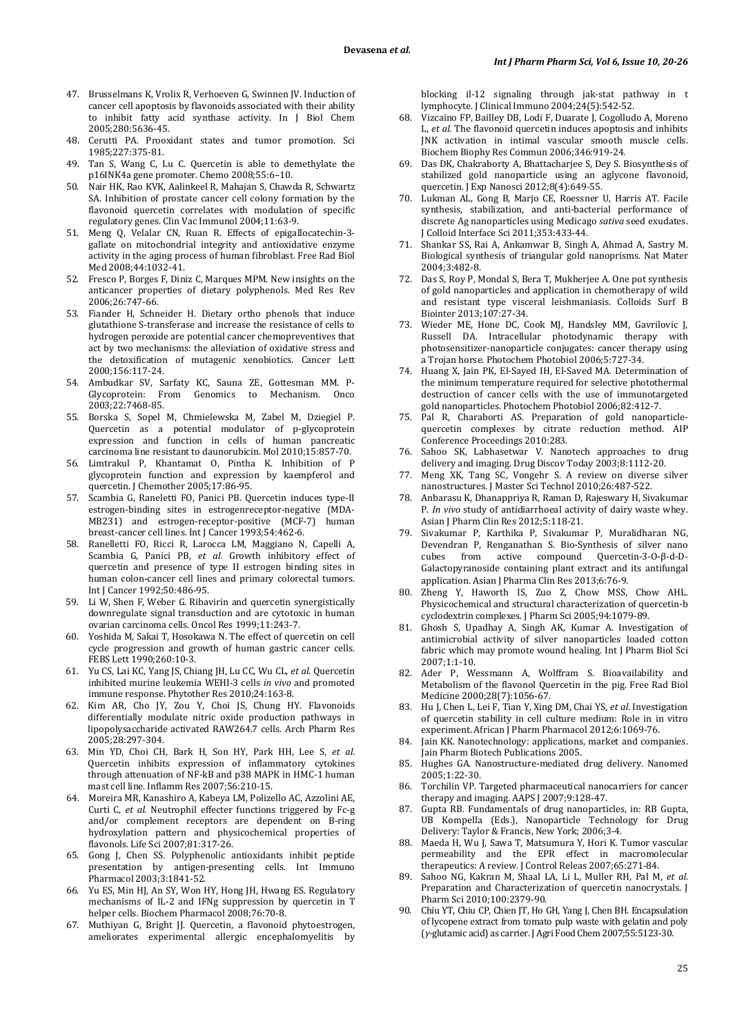- 47. Brusselmans K, Vrolix R, Verhoeven G, Swinnen JV. Induction of cancer cell apoptosis by flavonoids associated with their ability to inhibit fatty acid synthase activity. In J Biol Chem 2005;280:5636-45.
- 48. Cerutti PA. Prooxidant states and tumor promotion. Sci 1985;227:375-81.
- 49. Tan S, Wang C, Lu C. Quercetin is able to demethylate the p16INK4a gene promoter. Chemo 2008;55:6–10.
- 50. Nair HK, Rao KVK, Aalinkeel R, Mahajan S, Chawda R, Schwartz SA. Inhibition of prostate cancer cell colony formation by the flavonoid quercetin correlates with modulation of specific regulatory genes. Clin Vac Immunol 2004;11:63-9.
- 51. Meng Q, Velalar CN, Ruan R. Effects of epigallocatechin-3 gallate on mitochondrial integrity and antioxidative enzyme activity in the aging process of human fibroblast. Free Rad Biol Med 2008;44:1032-41.
- 52. Fresco P, Borges F, Diniz C, Marques MPM. New insights on the anticancer properties of dietary polyphenols. Med Res Rev 2006;26:747-66.
- 53. Fiander H, Schneider H. Dietary ortho phenols that induce glutathione S-transferase and increase the resistance of cells to hydrogen peroxide are potential cancer chemopreventives that act by two mechanisms: the alleviation of oxidative stress and the detoxification of mutagenic xenobiotics. Cancer Lett 2000;156:117-24.
- 54. Ambudkar SV, Sarfaty KC, Sauna ZE, Gottesman MM. P-<br>Glycoprotein: From Genomics to Mechanism. Onco From Genomics to 2003;22:7468-85.
- 55. Borska S, Sopel M, Chmielewska M, Zabel M, Dziegiel P. Quercetin as a potential modulator of p-glycoprotein expression and function in cells of human pancreatic carcinoma line resistant to daunorubicin. Mol 2010;15:857-70.
- 56. Limtrakul P, Khantamat O, Pintha K. Inhibition of P glycoprotein function and expression by kaempferol and quercetin. J Chemother 2005;17:86-95.
- 57. Scambia G, Raneletti FO, Panici PB. Quercetin induces type-II estrogen-binding sites in estrogenreceptor-negative (MDA-MB231) and estrogen-receptor-positive (MCF-7) human breast-cancer cell lines. Int J Cancer 1993;54:462-6.
- 58. Ranelletti FO, Ricci R, Larocca LM, Maggiano N, Capelli A, Scambia G, Panici PB, *et al*. Growth inhibitory effect of quercetin and presence of type II estrogen binding sites in human colon-cancer cell lines and primary colorectal tumors. Int J Cancer 1992;50:486-95.
- 59. Li W, Shen F, Weber G. Ribavirin and quercetin synergistically downregulate signal transduction and are cytotoxic in human ovarian carcinoma cells. Oncol Res 1999;11:243-7.
- 60. Yoshida M, Sakai T, Hosokawa N. The effect of quercetin on cell cycle progression and growth of human gastric cancer cells. FEBS Lett 1990;260:10-3.
- 61. Yu CS, Lai KC, Yang JS, Chiang JH, Lu CC, Wu CL, *et al*. Quercetin inhibited murine leukemia WEHI-3 cells *in vivo* and promoted immune response. Phytother Res 2010;24:163-8.
- 62. Kim AR, Cho JY, Zou Y, Choi JS, Chung HY. Flavonoids differentially modulate nitric oxide production pathways in lipopolysaccharide activated RAW264.7 cells. Arch Pharm Res 2005;28:297-304.
- 63. Min YD, Choi CH, Bark H, Son HY, Park HH, Lee S, *et al*. Quercetin inhibits expression of inflammatory cytokines through attenuation of NF-kB and p38 MAPK in HMC-1 human mast cell line. Inflamm Res 2007;56:210-15.
- 64. Moreira MR, Kanashiro A, Kabeya LM, Polizello AC, Azzolini AE, Curti C, *et al*. Neutrophil effecter functions triggered by Fc-g and/or complement receptors are dependent on B-ring hydroxylation pattern and physicochemical properties of flavonols. Life Sci 2007;81:317-26.
- 65. Gong J, Chen SS. Polyphenolic antioxidants inhibit peptide presentation by antigen-presenting cells. Int Immuno Pharmacol 2003;3:1841-52.
- 66. Yu ES, Min HJ, An SY, Won HY, Hong JH, Hwang ES. Regulatory mechanisms of IL-2 and IFNg suppression by quercetin in T helper cells. Biochem Pharmacol 2008;76:70-8.
- 67. Muthiyan G, Bright JJ. Quercetin, a flavonoid phytoestrogen, ameliorates experimental allergic encephalomyelitis by

blocking il-12 signaling through jak-stat pathway in t lymphocyte. J Clinical Immuno 2004;24(5):542-52.

- 68. Vizcaino FP, Bailley DB, Lodi F, Duarate J, Cogolludo A, Moreno L, *et al*. The flavonoid quercetin induces apoptosis and inhibits JNK activation in intimal vascular smooth muscle cells. Biochem Biophy Res Commun 2006;346:919-24.
- 69. Das DK, Chakraborty A, Bhattacharjee S, Dey S. Biosynthesis of stabilized gold nanoparticle using an aglycone flavonoid, quercetin. J Exp Nanosci 2012;8(4):649-55.
- 70. Lukman AL, Gong B, Marjo CE, Roessner U, Harris AT. Facile synthesis, stabilization, and anti-bacterial performance of discrete Ag nanoparticles using Medicago *sativa* seed exudates. J Colloid Interface Sci 2011;353:433-44.
- 71. Shankar SS, Rai A, Ankamwar B, Singh A, Ahmad A, Sastry M. Biological synthesis of triangular gold nanoprisms. Nat Mater 2004;3:482-8.
- 72. Das S, Roy P, Mondal S, Bera T, Mukherjee A. One pot synthesis of gold nanoparticles and application in chemotherapy of wild and resistant type visceral leishmaniasis. Colloids Surf B Biointer 2013;107:27-34.
- 73. Wieder ME, Hone DC, Cook MJ, Handsley MM, Gavrilovic J, Russell DA. Intracellular photodynamic therapy with photosensitizer-nanoparticle conjugates: cancer therapy using a Trojan horse. Photochem Photobiol 2006;5:727-34.
- 74. Huang X, Jain PK, El-Sayed IH, El-Saved MA. Determination of the minimum temperature required for selective photothermal destruction of cancer cells with the use of immunotargeted gold nanoparticles. Photochem Photobiol 2006;82:412-7.
- 75. Pal R, Charaborti AS. Preparation of gold nanoparticlequercetin complexes by citrate reduction method. AIP Conference Proceedings 2010:283.
- Sahoo SK, Labhasetwar V. Nanotech approaches to drug delivery and imaging. Drug Discov Today 2003;8:1112-20.
- 77. Meng XK*,* Tang SC, Vongehr S. A review on diverse silver nanostructures. J Master Sci Technol 2010;26:487-522.
- 78. Anbarasu K, Dhanappriya R, Raman D, Rajeswary H, Sivakumar P. *In vivo* study of antidiarrhoeal activity of dairy waste whey. Asian J Pharm Clin Res 2012;5:118-21.
- 79. Sivakumar P, Karthika P, Sivakumar P, Muralidharan NG, Devendran P, Renganathan S. Bio-Synthesis of silver nano cubes from active compound Quercetin-3-O-β-d-D-Galactopyranoside containing plant extract and its antifungal application. Asian J Pharma Clin Res 2013;6:76-9.
- 80. Zheng Y, Haworth IS, Zuo Z, Chow MSS, Chow AHL. Physicochemical and structural characterization of quercetin-b cyclodextrin complexes. J Pharm Sci 2005;94:1079-89.
- 81. Ghosh S, Upadhay A, Singh AK, Kumar A. Investigation of antimicrobial activity of silver nanoparticles loaded cotton fabric which may promote wound healing. Int J Pharm Biol Sci 2007;1:1-10.
- Ader P, Wessmann A, Wolffram S. Bioavailability and Metabolism of the flavonol Quercetin in the pig. Free Rad Biol Medicine 2000;28(7):1056-67.
- 83. Hu J, Chen L, Lei F, Tian Y, Xing DM, Chai YS, *et al*. Investigation of quercetin stability in cell culture medium: Role in in vitro experiment. African J Pharm Pharmacol 2012;6:1069-76.
- 84. Jain KK. Nanotechnology: applications, market and companies. Jain Pharm Biotech Publications 2005.
- 85. Hughes GA. Nanostructure-mediated drug delivery. Nanomed 2005;1:22-30.
- 86. Torchilin VP. Targeted pharmaceutical nanocarriers for cancer therapy and imaging. AAPS J 2007;9:128-47.
- 87. Gupta RB. Fundamentals of drug nanoparticles, in: RB Gupta, UB Kompella (Eds.), Nanoparticle Technology for Drug Delivery: Taylor & Francis, New York; 2006;3-4.
- 88. Maeda H, Wu J, Sawa T, Matsumura Y, Hori K. Tumor vascular permeability and the EPR effect in macromolecular therapeutics: A review. J Control Releas 2007;65:271-84.
- 89. Sahoo NG, Kakran M, Shaal LA, Li L, Muller RH, Pal M, *et al*. Preparation and Characterization of quercetin nanocrystals. J Pharm Sci 2010;100:2379-90.
- 90. Chiu YT, Chiu CP, Chien JT, Ho GH, Yang J, Chen BH. Encapsulation of lycopene extract from tomato pulp waste with gelatin and poly (*γ-*glutamic acid) as carrier. J Agri Food Chem 2007;55:5123-30.